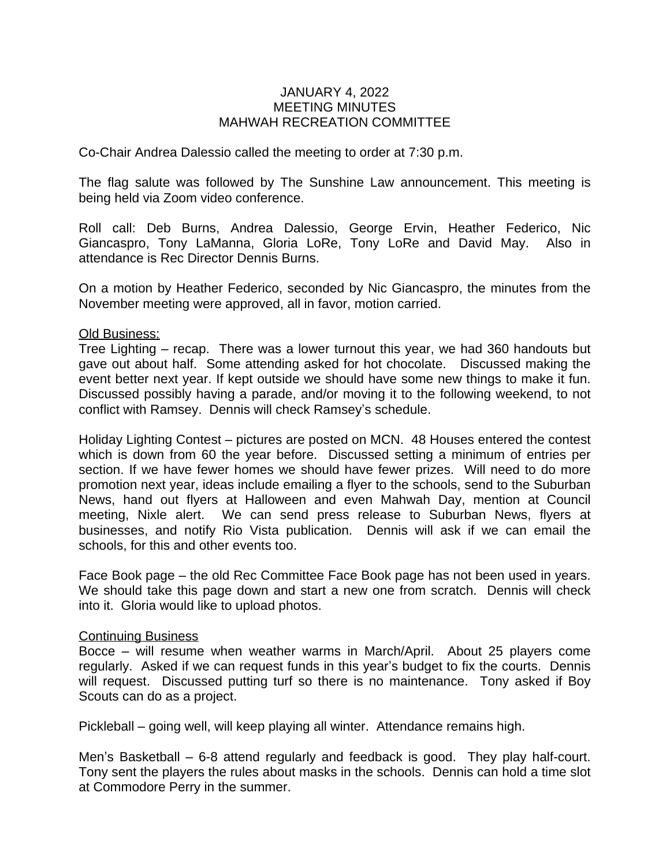## JANUARY 4, 2022 MEETING MINUTES MAHWAH RECREATION COMMITTEE

Co-Chair Andrea Dalessio called the meeting to order at 7:30 p.m.

The flag salute was followed by The Sunshine Law announcement. This meeting is being held via Zoom video conference.

Roll call: Deb Burns, Andrea Dalessio, George Ervin, Heather Federico, Nic Giancaspro, Tony LaManna, Gloria LoRe, Tony LoRe and David May. Also in attendance is Rec Director Dennis Burns.

On a motion by Heather Federico, seconded by Nic Giancaspro, the minutes from the November meeting were approved, all in favor, motion carried.

## Old Business:

Tree Lighting – recap. There was a lower turnout this year, we had 360 handouts but gave out about half. Some attending asked for hot chocolate. Discussed making the event better next year. If kept outside we should have some new things to make it fun. Discussed possibly having a parade, and/or moving it to the following weekend, to not conflict with Ramsey. Dennis will check Ramsey's schedule.

Holiday Lighting Contest – pictures are posted on MCN. 48 Houses entered the contest which is down from 60 the year before. Discussed setting a minimum of entries per section. If we have fewer homes we should have fewer prizes. Will need to do more promotion next year, ideas include emailing a flyer to the schools, send to the Suburban News, hand out flyers at Halloween and even Mahwah Day, mention at Council meeting, Nixle alert. We can send press release to Suburban News, flyers at businesses, and notify Rio Vista publication. Dennis will ask if we can email the schools, for this and other events too.

Face Book page – the old Rec Committee Face Book page has not been used in years. We should take this page down and start a new one from scratch. Dennis will check into it. Gloria would like to upload photos.

## Continuing Business

Bocce – will resume when weather warms in March/April. About 25 players come regularly. Asked if we can request funds in this year's budget to fix the courts. Dennis will request. Discussed putting turf so there is no maintenance. Tony asked if Boy Scouts can do as a project.

Pickleball – going well, will keep playing all winter. Attendance remains high.

Men's Basketball – 6-8 attend regularly and feedback is good. They play half-court. Tony sent the players the rules about masks in the schools. Dennis can hold a time slot at Commodore Perry in the summer.